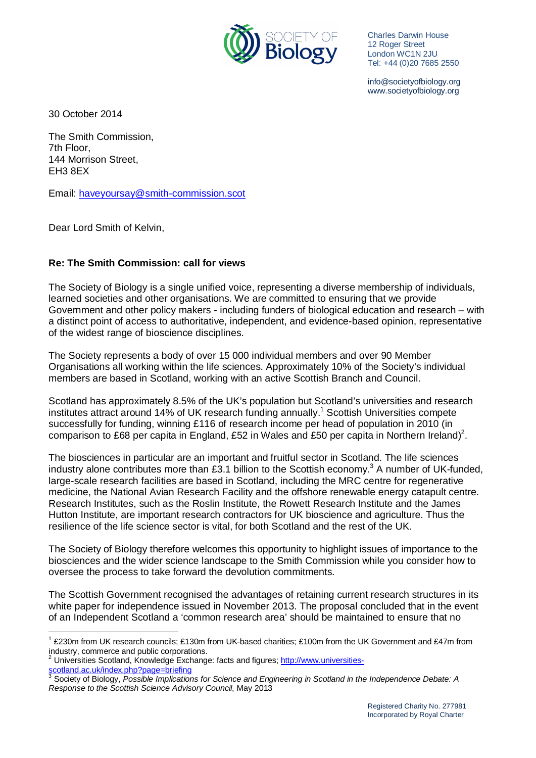

Charles Darwin House 12 Roger Street London WC1N 2JU Tel: +44 (0)20 7685 2550

info@societyofbiology.org www.societyofbiology.org

30 October 2014

The Smith Commission, 7th Floor, 144 Morrison Street, EH3 8EX

Email: [haveyoursay@smith-commission.scot](mailto:haveyoursay@smith-commission.scot) 

Dear Lord Smith of Kelvin,

1

## **Re: The Smith Commission: call for views**

The Society of Biology is a single unified voice, representing a diverse membership of individuals, learned societies and other organisations. We are committed to ensuring that we provide Government and other policy makers - including funders of biological education and research – with a distinct point of access to authoritative, independent, and evidence-based opinion, representative of the widest range of bioscience disciplines.

The Society represents a body of over 15 000 individual members and over 90 Member Organisations all working within the life sciences. Approximately 10% of the Society's individual members are based in Scotland, working with an active Scottish Branch and Council.

Scotland has approximately 8.5% of the UK's population but Scotland's universities and research institutes attract around [1](#page-0-0)4% of UK research funding annually.<sup>1</sup> Scottish Universities compete successfully for funding, winning £116 of research income per head of population in 2010 (in comparison to £68 per capita in England, £5[2](#page-0-1) in Wales and £50 per capita in Northern Ireland)<sup>2</sup>.

The biosciences in particular are an important and fruitful sector in Scotland. The life sciences industry alone contributes more than £[3](#page-0-2).1 billion to the Scottish economy.<sup>3</sup> A number of UK-funded, large-scale research facilities are based in Scotland, including the MRC centre for regenerative medicine, the National Avian Research Facility and the offshore renewable energy catapult centre. Research Institutes, such as the Roslin Institute, the Rowett Research Institute and the James Hutton Institute, are important research contractors for UK bioscience and agriculture. Thus the resilience of the life science sector is vital, for both Scotland and the rest of the UK.

The Society of Biology therefore welcomes this opportunity to highlight issues of importance to the biosciences and the wider science landscape to the Smith Commission while you consider how to oversee the process to take forward the devolution commitments.

The Scottish Government recognised the advantages of retaining current research structures in its white paper for independence issued in November 2013. The proposal concluded that in the event of an Independent Scotland a 'common research area' should be maintained to ensure that no

<span id="page-0-0"></span><sup>&</sup>lt;sup>1</sup> £230m from UK research councils; £130m from UK-based charities; £100m from the UK Government and £47m from industry, commerce and public corporations.

<span id="page-0-1"></span><sup>&</sup>lt;sup>2</sup> Universities Scotland, Knowledge Exchange: facts and figures; [http://www.universities-](http://www.universities-scotland.ac.uk/index.php?page=briefing)

<span id="page-0-2"></span>scotland.ac.uk/index.php?page=briefing 3 Society of Biology, *Possible Implications for Science and Engineering in Scotland in the Independence Debate: A Response to the Scottish Science Advisory Council*, May 2013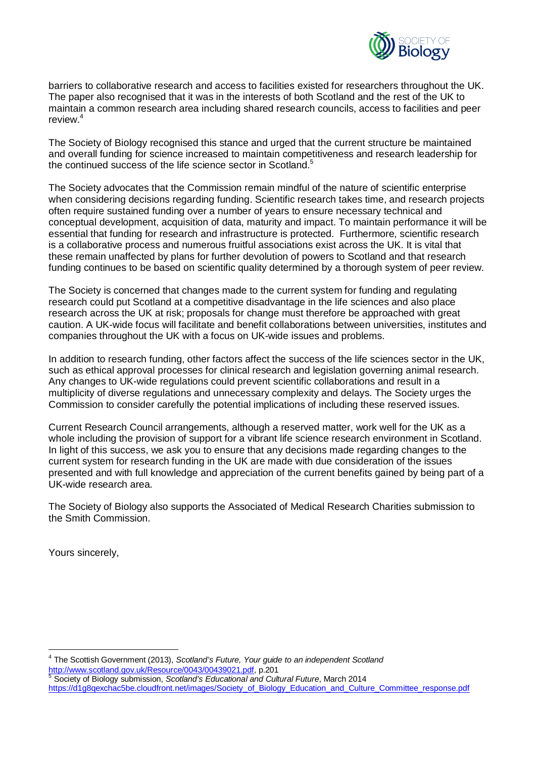

barriers to collaborative research and access to facilities existed for researchers throughout the UK. The paper also recognised that it was in the interests of both Scotland and the rest of the UK to maintain a common research area including shared research councils, access to facilities and peer review<sup>[4](#page-1-0)</sup>

The Society of Biology recognised this stance and urged that the current structure be maintained and overall funding for science increased to maintain competitiveness and research leadership for the continued success of the life science sector in Scotland.<sup>[5](#page-1-1)</sup>

The Society advocates that the Commission remain mindful of the nature of scientific enterprise when considering decisions regarding funding. Scientific research takes time, and research projects often require sustained funding over a number of years to ensure necessary technical and conceptual development, acquisition of data, maturity and impact. To maintain performance it will be essential that funding for research and infrastructure is protected. Furthermore, scientific research is a collaborative process and numerous fruitful associations exist across the UK. It is vital that these remain unaffected by plans for further devolution of powers to Scotland and that research funding continues to be based on scientific quality determined by a thorough system of peer review.

The Society is concerned that changes made to the current system for funding and regulating research could put Scotland at a competitive disadvantage in the life sciences and also place research across the UK at risk; proposals for change must therefore be approached with great caution. A UK-wide focus will facilitate and benefit collaborations between universities, institutes and companies throughout the UK with a focus on UK-wide issues and problems.

In addition to research funding, other factors affect the success of the life sciences sector in the UK, such as ethical approval processes for clinical research and legislation governing animal research. Any changes to UK-wide regulations could prevent scientific collaborations and result in a multiplicity of diverse regulations and unnecessary complexity and delays. The Society urges the Commission to consider carefully the potential implications of including these reserved issues.

Current Research Council arrangements, although a reserved matter, work well for the UK as a whole including the provision of support for a vibrant life science research environment in Scotland. In light of this success, we ask you to ensure that any decisions made regarding changes to the current system for research funding in the UK are made with due consideration of the issues presented and with full knowledge and appreciation of the current benefits gained by being part of a UK-wide research area.

The Society of Biology also supports the Associated of Medical Research Charities submission to the Smith Commission.

Yours sincerely,

<u>.</u>

<span id="page-1-0"></span>4 The Scottish Government (2013), *Scotland's Future, Your guide to an independent Scotland*  [http://www.scotland.gov.uk/Resource/0043/00439021.pdf,](http://www.scotland.gov.uk/Resource/0043/00439021.pdf) p.201 5 Society of Biology submission, *Scotland's Educational and Cultural Future*, March 2014

<span id="page-1-1"></span>https://d1q8qexchac5be.cloudfront.net/images/Society\_of\_Biology\_Education\_and\_Culture\_Committee\_response.pdf